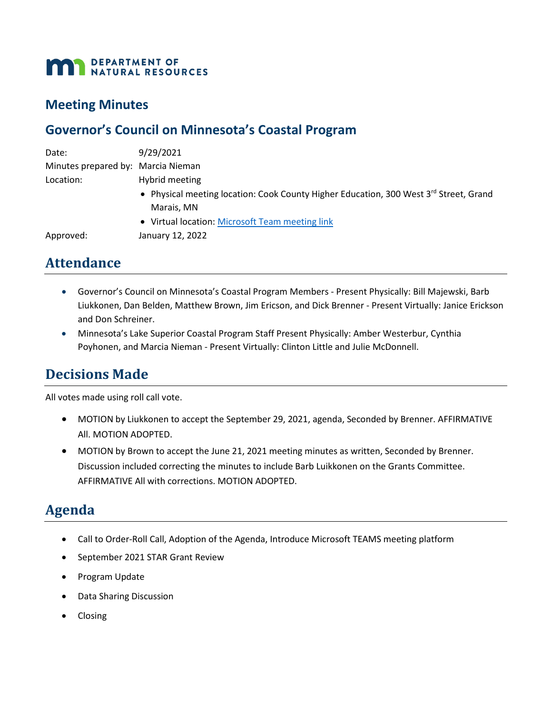#### DEPARTMENT OF **THE DEPARTMENT OF SALES**

## **Meeting Minutes**

## **Governor's Council on Minnesota's Coastal Program**

| Date:                              | 9/29/2021                                                                             |
|------------------------------------|---------------------------------------------------------------------------------------|
| Minutes prepared by: Marcia Nieman |                                                                                       |
| Location:                          | Hybrid meeting                                                                        |
|                                    | • Physical meeting location: Cook County Higher Education, 300 West 3rd Street, Grand |
|                                    | Marais, MN                                                                            |
|                                    | • Virtual location: Microsoft Team meeting link                                       |
| Approved:                          | January 12, 2022                                                                      |

# **Attendance**

- Governor's Council on Minnesota's Coastal Program Members Present Physically: Bill Majewski, Barb Liukkonen, Dan Belden, Matthew Brown, Jim Ericson, and Dick Brenner - Present Virtually: Janice Erickson and Don Schreiner.
- Minnesota's Lake Superior Coastal Program Staff Present Physically: Amber Westerbur, Cynthia Poyhonen, and Marcia Nieman - Present Virtually: Clinton Little and Julie McDonnell.

# **Decisions Made**

All votes made using roll call vote.

- MOTION by Liukkonen to accept the September 29, 2021, agenda, Seconded by Brenner. AFFIRMATIVE All. MOTION ADOPTED.
- MOTION by Brown to accept the June 21, 2021 meeting minutes as written, Seconded by Brenner. Discussion included correcting the minutes to include Barb Luikkonen on the Grants Committee. AFFIRMATIVE All with corrections. MOTION ADOPTED.

# **Agenda**

- Call to Order-Roll Call, Adoption of the Agenda, Introduce Microsoft TEAMS meeting platform
- September 2021 STAR Grant Review
- Program Update
- Data Sharing Discussion
- Closing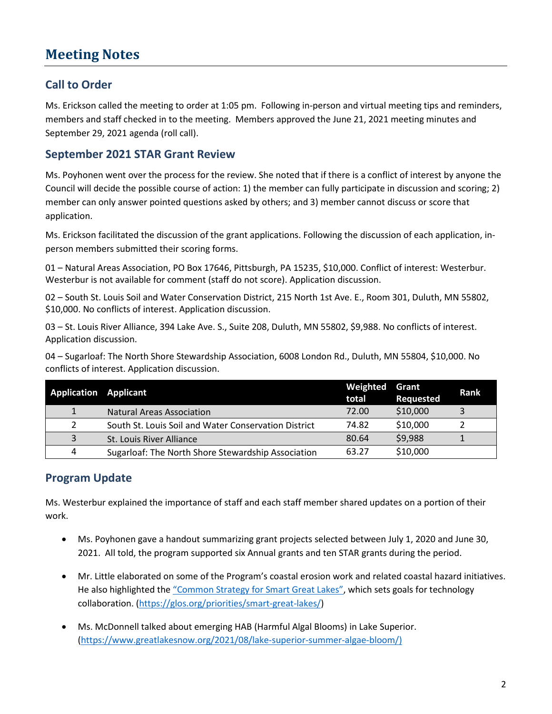# **Meeting Notes**

## **Call to Order**

Ms. Erickson called the meeting to order at 1:05 pm. Following in-person and virtual meeting tips and reminders, members and staff checked in to the meeting. Members approved the June 21, 2021 meeting minutes and September 29, 2021 agenda (roll call).

### **September 2021 STAR Grant Review**

Ms. Poyhonen went over the process for the review. She noted that if there is a conflict of interest by anyone the Council will decide the possible course of action: 1) the member can fully participate in discussion and scoring; 2) member can only answer pointed questions asked by others; and 3) member cannot discuss or score that application.

Ms. Erickson facilitated the discussion of the grant applications. Following the discussion of each application, inperson members submitted their scoring forms.

01 – Natural Areas Association, PO Box 17646, Pittsburgh, PA 15235, \$10,000. Conflict of interest: Westerbur. Westerbur is not available for comment (staff do not score). Application discussion.

02 – South St. Louis Soil and Water Conservation District, 215 North 1st Ave. E., Room 301, Duluth, MN 55802, \$10,000. No conflicts of interest. Application discussion.

03 – St. Louis River Alliance, 394 Lake Ave. S., Suite 208, Duluth, MN 55802, \$9,988. No conflicts of interest. Application discussion.

04 – Sugarloaf: The North Shore Stewardship Association, 6008 London Rd., Duluth, MN 55804, \$10,000. No conflicts of interest. Application discussion.

| <b>Application Applicant</b> |                                                      | Weighted<br>total | Grant<br><b>Requested</b> | Rank |
|------------------------------|------------------------------------------------------|-------------------|---------------------------|------|
| $\mathbf{1}$                 | <b>Natural Areas Association</b>                     | 72.00             | \$10,000                  |      |
|                              | South St. Louis Soil and Water Conservation District | 74.82             | \$10,000                  |      |
| 3                            | St. Louis River Alliance                             | 80.64             | \$9,988                   |      |
| 4                            | Sugarloaf: The North Shore Stewardship Association   | 63.27             | \$10,000                  |      |

## **Program Update**

Ms. Westerbur explained the importance of staff and each staff member shared updates on a portion of their work.

- Ms. Poyhonen gave a handout summarizing grant projects selected between July 1, 2020 and June 30, 2021. All told, the program supported six Annual grants and ten STAR grants during the period.
- Mr. Little elaborated on some of the Program's coastal erosion work and related coastal hazard initiatives. He also highlighted th[e "Common Strategy for Smart Great Lakes",](https://glos.org/wp-content/uploads/2021/10/SGLi-Common-Strategy-for-Smart-Great-Lakes.pdf) which sets goals for technology collaboration. [\(https://glos.org/priorities/smart-great-lakes/\)](https://glos.org/priorities/smart-great-lakes/)
- Ms. McDonnell talked about emerging HAB (Harmful Algal Blooms) in Lake Superior. [\(https://www.greatlakesnow.org/2021/08/lake-superior-summer-algae-bloom/\)](https://www.greatlakesnow.org/2021/08/lake-superior-summer-algae-bloom/)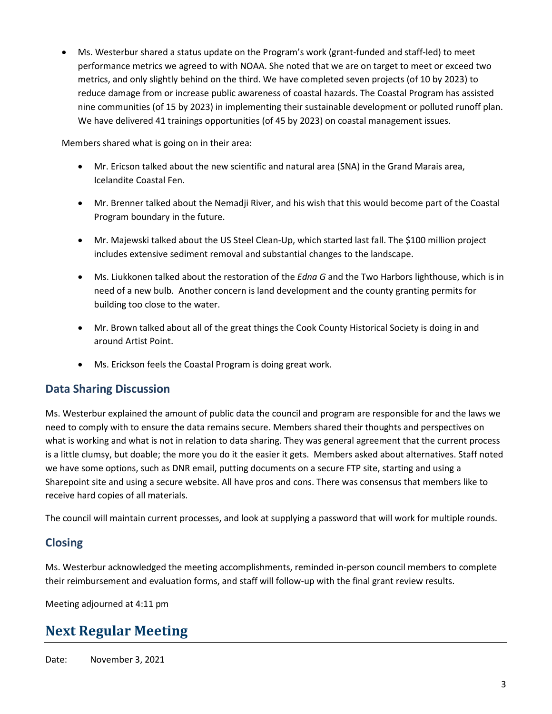• Ms. Westerbur shared a status update on the Program's work (grant-funded and staff-led) to meet performance metrics we agreed to with NOAA. She noted that we are on target to meet or exceed two metrics, and only slightly behind on the third. We have completed seven projects (of 10 by 2023) to reduce damage from or increase public awareness of coastal hazards. The Coastal Program has assisted nine communities (of 15 by 2023) in implementing their sustainable development or polluted runoff plan. We have delivered 41 trainings opportunities (of 45 by 2023) on coastal management issues.

Members shared what is going on in their area:

- Mr. Ericson talked about the new scientific and natural area (SNA) in the Grand Marais area, Icelandite Coastal Fen.
- Mr. Brenner talked about the Nemadji River, and his wish that this would become part of the Coastal Program boundary in the future.
- Mr. Majewski talked about the US Steel Clean-Up, which started last fall. The \$100 million project includes extensive sediment removal and substantial changes to the landscape.
- Ms. Liukkonen talked about the restoration of the *Edna G* and the Two Harbors lighthouse, which is in need of a new bulb. Another concern is land development and the county granting permits for building too close to the water.
- Mr. Brown talked about all of the great things the Cook County Historical Society is doing in and around Artist Point.
- Ms. Erickson feels the Coastal Program is doing great work.

### **Data Sharing Discussion**

Ms. Westerbur explained the amount of public data the council and program are responsible for and the laws we need to comply with to ensure the data remains secure. Members shared their thoughts and perspectives on what is working and what is not in relation to data sharing. They was general agreement that the current process is a little clumsy, but doable; the more you do it the easier it gets. Members asked about alternatives. Staff noted we have some options, such as DNR email, putting documents on a secure FTP site, starting and using a Sharepoint site and using a secure website. All have pros and cons. There was consensus that members like to receive hard copies of all materials.

The council will maintain current processes, and look at supplying a password that will work for multiple rounds.

### **Closing**

Ms. Westerbur acknowledged the meeting accomplishments, reminded in-person council members to complete their reimbursement and evaluation forms, and staff will follow-up with the final grant review results.

Meeting adjourned at 4:11 pm

# **Next Regular Meeting**

Date: November 3, 2021